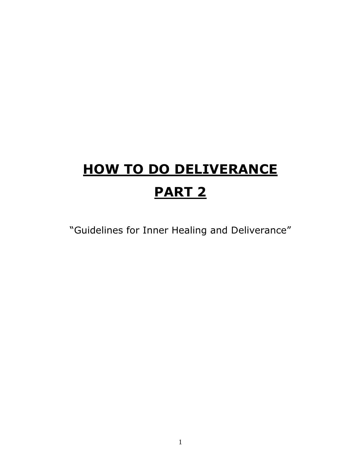# **HOW TO DO DELIVERANCE PART 2**

"Guidelines for Inner Healing and Deliverance"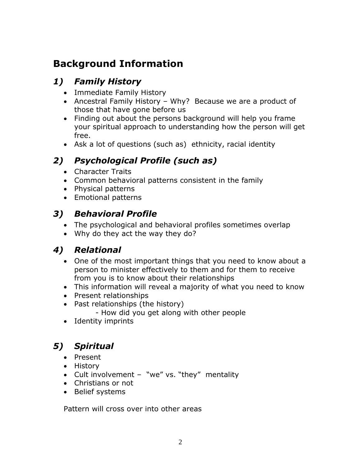## **Background Information**

#### *1) Family History*

- Immediate Family History
- Ancestral Family History Why? Because we are a product of those that have gone before us
- Finding out about the persons background will help you frame your spiritual approach to understanding how the person will get free.
- Ask a lot of questions (such as) ethnicity, racial identity

## *2) Psychological Profile (such as)*

- Character Traits
- Common behavioral patterns consistent in the family
- Physical patterns
- Emotional patterns

## *3) Behavioral Profile*

- The psychological and behavioral profiles sometimes overlap
- Why do they act the way they do?

#### *4) Relational*

- One of the most important things that you need to know about a person to minister effectively to them and for them to receive from you is to know about their relationships
- This information will reveal a majority of what you need to know
- Present relationships
- Past relationships (the history)
	- How did you get along with other people
- Identity imprints

## *5) Spiritual*

- Present
- History
- Cult involvement "we" vs. "they" mentality
- Christians or not
- Belief systems

Pattern will cross over into other areas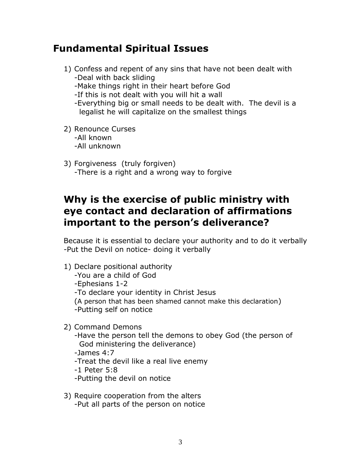## **Fundamental Spiritual Issues**

- 1) Confess and repent of any sins that have not been dealt with -Deal with back sliding -Make things right in their heart before God -If this is not dealt with you will hit a wall -Everything big or small needs to be dealt with. The devil is a legalist he will capitalize on the smallest things
- 2) Renounce Curses -All known -All unknown
- 3) Forgiveness (truly forgiven) -There is a right and a wrong way to forgive

## **Why is the exercise of public ministry with eye contact and declaration of affirmations important to the person's deliverance?**

Because it is essential to declare your authority and to do it verbally -Put the Devil on notice- doing it verbally

- 1) Declare positional authority -You are a child of God -Ephesians 1-2 -To declare your identity in Christ Jesus (A person that has been shamed cannot make this declaration) -Putting self on notice
- 2) Command Demons
	- -Have the person tell the demons to obey God (the person of God ministering the deliverance) -James 4:7 -Treat the devil like a real live enemy -1 Peter 5:8 -Putting the devil on notice
- 3) Require cooperation from the alters -Put all parts of the person on notice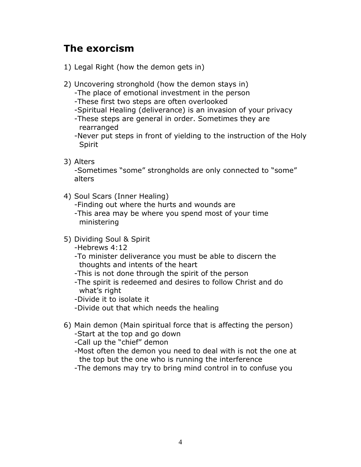## **The exorcism**

- 1) Legal Right (how the demon gets in)
- 2) Uncovering stronghold (how the demon stays in)
	- -The place of emotional investment in the person
	- -These first two steps are often overlooked
	- -Spiritual Healing (deliverance) is an invasion of your privacy
	- -These steps are general in order. Sometimes they are rearranged
	- -Never put steps in front of yielding to the instruction of the Holy Spirit
- 3) Alters

-Sometimes "some" strongholds are only connected to "some" alters

4) Soul Scars (Inner Healing)

-Finding out where the hurts and wounds are -This area may be where you spend most of your time ministering

- 5) Dividing Soul & Spirit
	- -Hebrews 4:12
	- -To minister deliverance you must be able to discern the thoughts and intents of the heart
	- -This is not done through the spirit of the person
	- -The spirit is redeemed and desires to follow Christ and do what's right
	- -Divide it to isolate it
	- -Divide out that which needs the healing
- 6) Main demon (Main spiritual force that is affecting the person) -Start at the top and go down
	- -Call up the "chief" demon
	- -Most often the demon you need to deal with is not the one at the top but the one who is running the interference
	- -The demons may try to bring mind control in to confuse you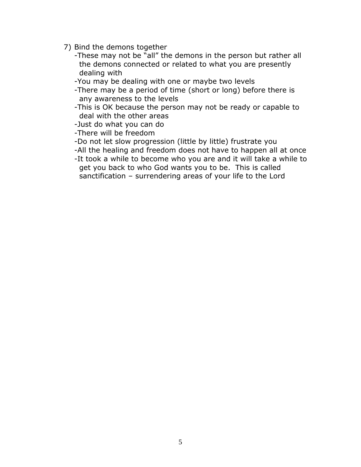- 7) Bind the demons together
	- -These may not be "all" the demons in the person but rather all the demons connected or related to what you are presently dealing with
	- -You may be dealing with one or maybe two levels
	- -There may be a period of time (short or long) before there is any awareness to the levels
	- -This is OK because the person may not be ready or capable to deal with the other areas
	- -Just do what you can do

-There will be freedom

- -Do not let slow progression (little by little) frustrate you
- -All the healing and freedom does not have to happen all at once
- -It took a while to become who you are and it will take a while to get you back to who God wants you to be. This is called sanctification – surrendering areas of your life to the Lord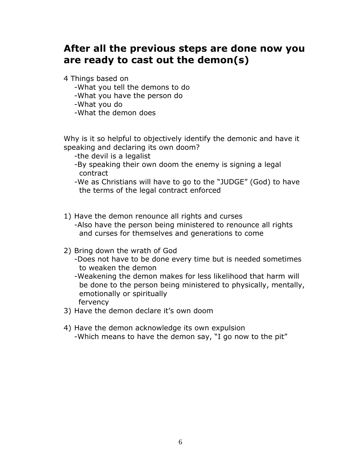## **After all the previous steps are done now you are ready to cast out the demon(s)**

4 Things based on

- -What you tell the demons to do
- -What you have the person do

-What you do

-What the demon does

Why is it so helpful to objectively identify the demonic and have it speaking and declaring its own doom?

- -the devil is a legalist
- -By speaking their own doom the enemy is signing a legal contract

-We as Christians will have to go to the "JUDGE" (God) to have the terms of the legal contract enforced

- 1) Have the demon renounce all rights and curses -Also have the person being ministered to renounce all rights and curses for themselves and generations to come
- 2) Bring down the wrath of God
	- -Does not have to be done every time but is needed sometimes to weaken the demon
	- -Weakening the demon makes for less likelihood that harm will be done to the person being ministered to physically, mentally, emotionally or spiritually fervency
- 3) Have the demon declare it's own doom
- 4) Have the demon acknowledge its own expulsion -Which means to have the demon say, "I go now to the pit"